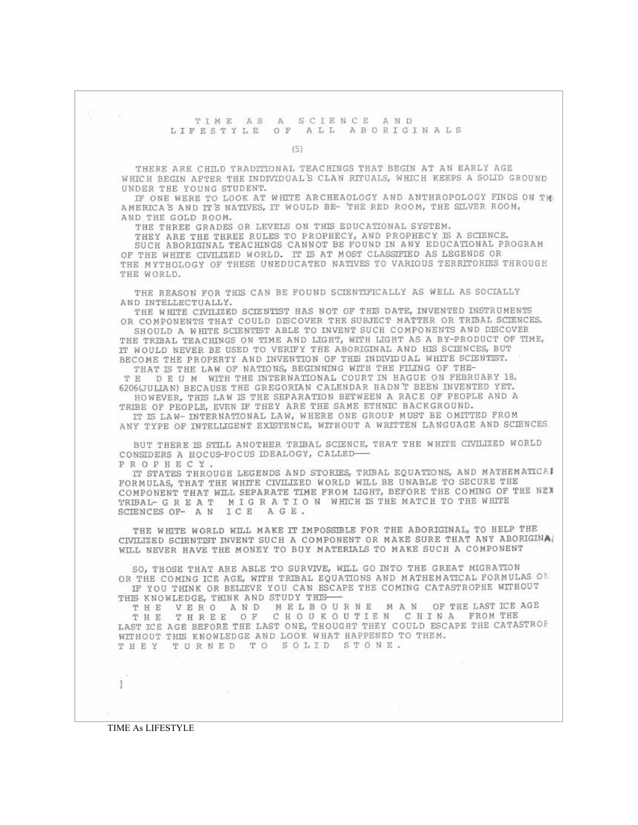## TIME AS A SCIENCE AND LIFESTYLE OF ALL ABORIGINALS

 $(5)$ 

THERE ARE CHILD TRADITIONAL TEACHINGS THAT BEGIN AT AN EARLY AGE WHICH BEGIN AFTER THE INDIVIDUAL'S CLAN RITUALS, WHICH KEEPS A SOLID GROUND UNDER THE YOUNG STUDENT.

IF ONE WERE TO LOOK AT WHITE ARCHEAOLOGY AND ANTHROPOLOGY FINDS ON THE AMERICA'S AND IT'S NATIVES, IT WOULD BE- THE RED ROOM, THE SILVER ROOM, AND THE GOLD ROOM.

THE THREE GRADES OR LEVELS ON THIS EDUCATIONAL SYSTEM.

THEY ARE THE THREE RULES TO PROPHECY, AND PROPHECY IS A SCIENCE. SUCH ABORIGINAL TEACHINGS CANNOT BE FOUND IN ANY EDUCATIONAL PROGRAM OF THE WHITE CIVILIZED WORLD. IT IS AT MOST CLASSIFIED AS LEGENDS OR THE MYTHOLOGY OF THESE UNEDUCATED NATIVES TO VARIOUS TERRITORIES THROUGH THE WORLD.

THE REASON FOR THIS CAN BE FOUND SCIENTIFICALLY AS WELL AS SOCIALLY AND INTELLECTUALLY.

THE WHITE CIVILIZED SCIENTIST HAS NOT OF THIS DATE, INVENTED INSTRUMENTS OR COMPONENTS THAT COULD DISCOVER THE SUBJECT MATTER OR TRIBAL SCIENCES.

SHOULD A WHITE SCIENTIST ABLE TO INVENT SUCH COMPONENTS AND DISCOVER THE TRIBAL TEACHINGS ON TIME AND LIGHT, WITH LIGHT AS A BY-PRODUCT OF TIME, IT WOULD NEVER BE USED TO VERIFY THE ABORIGINAL AND HIS SCIENCES, BUT BECOME THE PROPERTY AND INVENTION OF THE INDIVIDUAL WHITE SCIENTIST. THAT IS THE LAW OF NATIONS, BEGINNING WITH THE FILING OF THE-

TE DEUM WITH THE INTERNATIONAL COURT IN HAGUE ON FEBRUARY 18. 6206(JULIAN) BECAUSE THE GREGORIAN CALENDAR HADN'T BEEN INVENTED YET. HOWEVER, THIS LAW IS THE SEPARATION BETWEEN A RACE OF PEOPLE AND A

TRIBE OF PEOPLE, EVEN IF THEY ARE THE SAME ETHNIC BACKGROUND. IT IS LAW-INTERNATIONAL LAW, WHERE ONE GROUP MUST BE OMITTED FROM ANY TYPE OF INTELLIGENT EXISTENCE, WITHOUT A WRITTEN LANGUAGE AND SCIENCES.

BUT THERE IS STILL ANOTHER TRIBAL SCIENCE, THAT THE WHITE CIVILIZED WORLD CONSIDERS A HOCUS-POCUS IDEALOGY, CALLED-

PROPHECY. IT STATES THROUGH LEGENDS AND STORIES, TRIBAL EQUATIONS, AND MATHEMATICAL FORMULAS, THAT THE WHITE CIVILIZED WORLD WILL BE UNABLE TO SECURE THE COMPONENT THAT WILL SEPARATE TIME FROM LIGHT, BEFORE THE COMING OF THE NEX TRIBAL- GREAT MIGRATION WHICH IS THE MATCH TO THE WHITE SCIENCES OF- A N ICE AGE.

THE WHITE WORLD WILL MAKE IT IMPOSSIBLE FOR THE ABORIGINAL, TO HELP THE CIVILIZED SCIENTIST INVENT SUCH A COMPONENT OR MAKE SURE THAT ANY ABORIGINAL WILL NEVER HAVE THE MONEY TO BUY MATERIALS TO MAKE SUCH A COMPONENT

SO, THOSE THAT ARE ABLE TO SURVIVE, WILL GO INTO THE GREAT MIGRATION OR THE COMING ICE AGE, WITH TRIBAL EQUATIONS AND MATHEMATICAL FORMULAS ON IF YOU THINK OR BELIEVE YOU CAN ESCAPE THE COMING CATASTROPHE WITHOUT THIS KNOWLEDGE, THINK AND STUDY THIS-

THE VERO AND MELBOURNE MAN OF THE LAST ICE AGE CHOUKOUTIEN CHINA FROM THE THE THREE OF LAST ICE AGE BEFORE THE LAST ONE, THOUGHT THEY COULD ESCAPE THE CATASTROF WITHOUT THIS KNOWLEDGE AND LOOK WHAT HAPPENED TO THEM. THEY TURNED TO SOLID STONE.

TIME As LIFESTYLE

× 1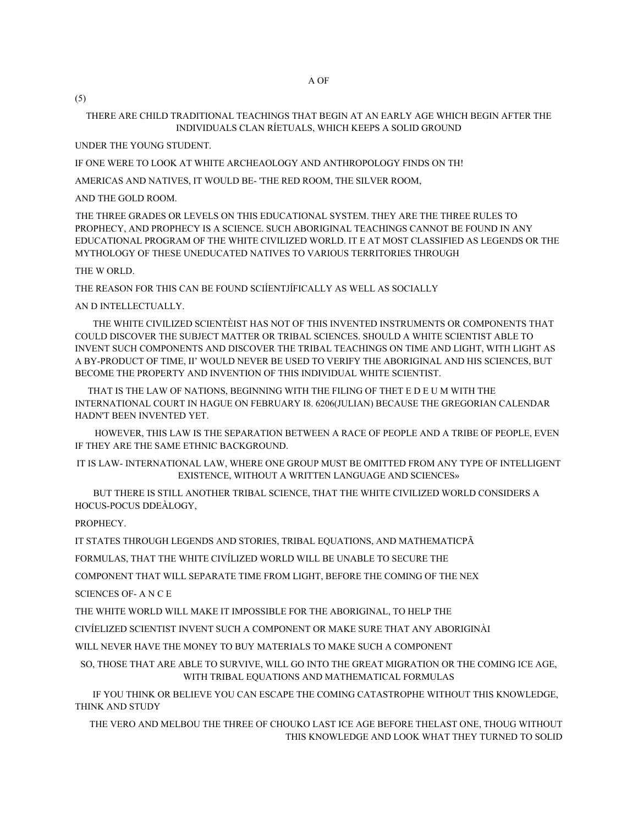(5)

## THERE ARE CHILD TRADITIONAL TEACHINGS THAT BEGIN AT AN EARLY AGE WHICH BEGIN AFTER THE INDIVIDUALS CLAN RÍETUALS, WHICH KEEPS A SOLID GROUND

UNDER THE YOUNG STUDENT.

IF ONE WERE TO LOOK AT WHITE ARCHEAOLOGY AND ANTHROPOLOGY FINDS ON TH!

AMERICAS AND NATIVES, IT WOULD BE- 'THE RED ROOM, THE SILVER ROOM,

AND THE GOLD ROOM.

THE THREE GRADES OR LEVELS ON THIS EDUCATIONAL SYSTEM. THEY ARE THE THREE RULES TO PROPHECY, AND PROPHECY IS A SCIENCE. SUCH ABORIGINAL TEACHINGS CANNOT BE FOUND IN ANY EDUCATIONAL PROGRAM OF THE WHITE CIVILIZED WORLD. IT E AT MOST CLASSIFIED AS LEGENDS OR THE MYTHOLOGY OF THESE UNEDUCATED NATIVES TO VARIOUS TERRITORIES THROUGH

## THE W ORLD.

THE REASON FOR THIS CAN BE FOUND SCIÍENTJÍFICALLY AS WELL AS SOCIALLY

## AN D INTELLECTUALLY.

THE WHITE CIVILIZED SCIENTÈIST HAS NOT OF THIS INVENTED INSTRUMENTS OR COMPONENTS THAT COULD DISCOVER THE SUBJECT MATTER OR TRIBAL SCIENCES. SHOULD A WHITE SCIENTIST ABLE TO INVENT SUCH COMPONENTS AND DISCOVER THE TRIBAL TEACHINGS ON TIME AND LIGHT, WITH LIGHT AS A BY-PRODUCT OF TIME, II' WOULD NEVER BE USED TO VERIFY THE ABORIGINAL AND HIS SCIENCES, BUT BECOME THE PROPERTY AND INVENTION OF THIS INDIVIDUAL WHITE SCIENTIST.

THAT IS THE LAW OF NATIONS, BEGINNING WITH THE FILING OF THET E D E U M WITH THE INTERNATIONAL COURT IN HAGUE ON FEBRUARY I8. 6206(JULIAN) BECAUSE THE GREGORIAN CALENDAR HADN'T BEEN INVENTED YET.

HOWEVER, THIS LAW IS THE SEPARATION BETWEEN A RACE OF PEOPLE AND A TRIBE OF PEOPLE, EVEN IF THEY ARE THE SAME ETHNIC BACKGROUND.

IT IS LAW- INTERNATIONAL LAW, WHERE ONE GROUP MUST BE OMITTED FROM ANY TYPE OF INTELLIGENT EXISTENCE, WITHOUT A WRITTEN LANGUAGE AND SCIENCES»

BUT THERE IS STILL ANOTHER TRIBAL SCIENCE, THAT THE WHITE CIVILIZED WORLD CONSIDERS A HOCUS-POCUS DDEÀLOGY,

PROPHECY.

IT STATES THROUGH LEGENDS AND STORIES, TRIBAL EQUATIONS, AND MATHEMATICPÃ

FORMULAS, THAT THE WHITE CIVÍLIZED WORLD WILL BE UNABLE TO SECURE THE

COMPONENT THAT WILL SEPARATE TIME FROM LIGHT, BEFORE THE COMING OF THE NEX

SCIENCES OF - A N C E

THE WHITE WORLD WILL MAKE IT IMPOSSIBLE FOR THE ABORIGINAL, TO HELP THE

CIVÍELIZED SCIENTIST INVENT SUCH A COMPONENT OR MAKE SURE THAT ANY ABORIGINÀI

WILL NEVER HAVE THE MONEY TO BUY MATERIALS TO MAKE SUCH A COMPONENT

SO, THOSE THAT ARE ABLE TO SURVIVE, WILL GO INTO THE GREAT MIGRATION OR THE COMING ICE AGE, WITH TRIBAL EQUATIONS AND MATHEMATICAL FORMULAS

IF YOU THINK OR BELIEVE YOU CAN ESCAPE THE COMING CATASTROPHE WITHOUT THIS KNOWLEDGE, THINK AND STUDY

THE VERO AND MELBOU THE THREE OF CHOUKO LAST ICE AGE BEFORE THELAST ONE, THOUG WITHOUT THIS KNOWLEDGE AND LOOK WHAT THEY TURNED TO SOLID